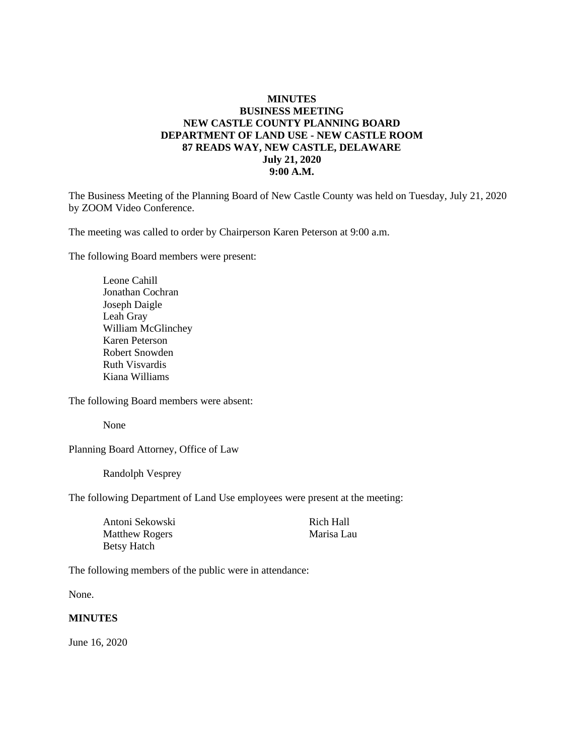#### **MINUTES BUSINESS MEETING NEW CASTLE COUNTY PLANNING BOARD DEPARTMENT OF LAND USE - NEW CASTLE ROOM 87 READS WAY, NEW CASTLE, DELAWARE July 21, 2020 9:00 A.M.**

The Business Meeting of the Planning Board of New Castle County was held on Tuesday, July 21, 2020 by ZOOM Video Conference.

The meeting was called to order by Chairperson Karen Peterson at 9:00 a.m.

The following Board members were present:

Leone Cahill Jonathan Cochran Joseph Daigle Leah Gray William McGlinchey Karen Peterson Robert Snowden Ruth Visvardis Kiana Williams

The following Board members were absent:

None

Planning Board Attorney, Office of Law

Randolph Vesprey

The following Department of Land Use employees were present at the meeting:

| Antoni Sekowski       |  |
|-----------------------|--|
| <b>Matthew Rogers</b> |  |
| Betsy Hatch           |  |

Rich Hall Marisa Lau

The following members of the public were in attendance:

None.

#### **MINUTES**

June 16, 2020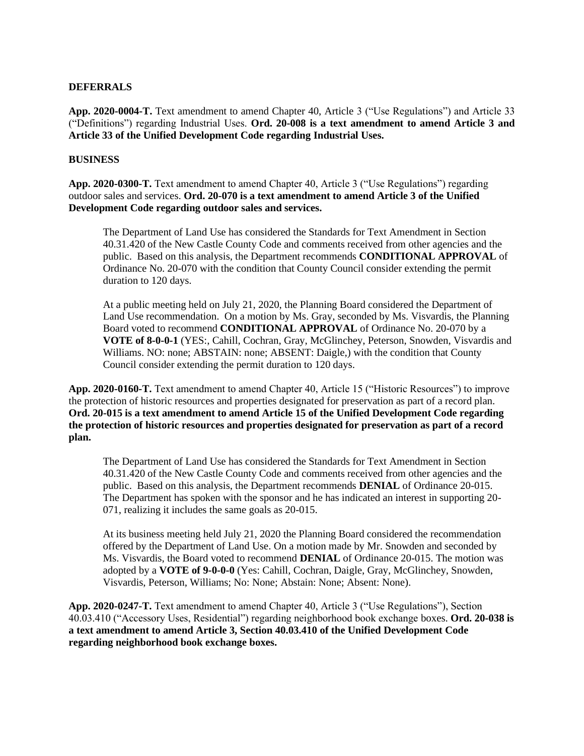#### **DEFERRALS**

**App. 2020-0004-T.** Text amendment to amend Chapter 40, Article 3 ("Use Regulations") and Article 33 ("Definitions") regarding Industrial Uses. **Ord. 20-008 is a text amendment to amend Article 3 and Article 33 of the Unified Development Code regarding Industrial Uses.**

#### **BUSINESS**

**App. 2020-0300-T.** Text amendment to amend Chapter 40, Article 3 ("Use Regulations") regarding outdoor sales and services. **Ord. 20-070 is a text amendment to amend Article 3 of the Unified Development Code regarding outdoor sales and services.**

The Department of Land Use has considered the Standards for Text Amendment in Section 40.31.420 of the New Castle County Code and comments received from other agencies and the public. Based on this analysis, the Department recommends **CONDITIONAL APPROVAL** of Ordinance No. 20-070 with the condition that County Council consider extending the permit duration to 120 days.

At a public meeting held on July 21, 2020, the Planning Board considered the Department of Land Use recommendation. On a motion by Ms. Gray, seconded by Ms. Visvardis, the Planning Board voted to recommend **CONDITIONAL APPROVAL** of Ordinance No. 20-070 by a **VOTE of 8-0-0-1** (YES:, Cahill, Cochran, Gray, McGlinchey, Peterson, Snowden, Visvardis and Williams. NO: none; ABSTAIN: none; ABSENT: Daigle,) with the condition that County Council consider extending the permit duration to 120 days.

**App. 2020-0160-T.** Text amendment to amend Chapter 40, Article 15 ("Historic Resources") to improve the protection of historic resources and properties designated for preservation as part of a record plan. **Ord. 20-015 is a text amendment to amend Article 15 of the Unified Development Code regarding the protection of historic resources and properties designated for preservation as part of a record plan.** 

The Department of Land Use has considered the Standards for Text Amendment in Section 40.31.420 of the New Castle County Code and comments received from other agencies and the public. Based on this analysis, the Department recommends **DENIAL** of Ordinance 20-015. The Department has spoken with the sponsor and he has indicated an interest in supporting 20- 071, realizing it includes the same goals as 20-015.

At its business meeting held July 21, 2020 the Planning Board considered the recommendation offered by the Department of Land Use. On a motion made by Mr. Snowden and seconded by Ms. Visvardis, the Board voted to recommend **DENIAL** of Ordinance 20-015. The motion was adopted by a **VOTE of 9-0-0-0** (Yes: Cahill, Cochran, Daigle, Gray, McGlinchey, Snowden, Visvardis, Peterson, Williams; No: None; Abstain: None; Absent: None).

**App. 2020-0247-T.** Text amendment to amend Chapter 40, Article 3 ("Use Regulations"), Section 40.03.410 ("Accessory Uses, Residential") regarding neighborhood book exchange boxes. **Ord. 20-038 is a text amendment to amend Article 3, Section 40.03.410 of the Unified Development Code regarding neighborhood book exchange boxes.**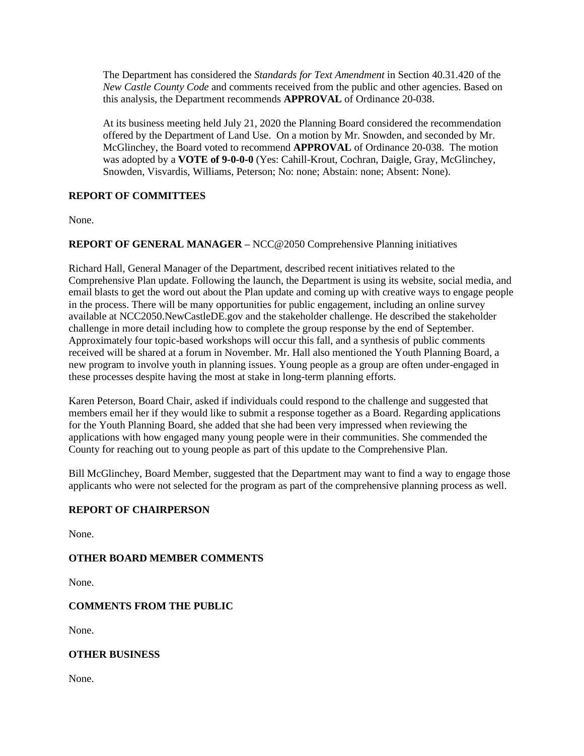The Department has considered the *Standards for Text Amendment* in Section 40.31.420 of the *New Castle County Code* and comments received from the public and other agencies. Based on this analysis, the Department recommends **APPROVAL** of Ordinance 20-038.

At its business meeting held July 21, 2020 the Planning Board considered the recommendation offered by the Department of Land Use. On a motion by Mr. Snowden, and seconded by Mr. McGlinchey, the Board voted to recommend **APPROVAL** of Ordinance 20-038. The motion was adopted by a **VOTE of 9-0-0-0** (Yes: Cahill-Krout, Cochran, Daigle, Gray, McGlinchey, Snowden, Visvardis, Williams, Peterson; No: none; Abstain: none; Absent: None).

### **REPORT OF COMMITTEES**

None.

# **REPORT OF GENERAL MANAGER –** NCC@2050 Comprehensive Planning initiatives

Richard Hall, General Manager of the Department, described recent initiatives related to the Comprehensive Plan update. Following the launch, the Department is using its website, social media, and email blasts to get the word out about the Plan update and coming up with creative ways to engage people in the process. There will be many opportunities for public engagement, including an online survey available at NCC2050.NewCastleDE.gov and the stakeholder challenge. He described the stakeholder challenge in more detail including how to complete the group response by the end of September. Approximately four topic-based workshops will occur this fall, and a synthesis of public comments received will be shared at a forum in November. Mr. Hall also mentioned the Youth Planning Board, a new program to involve youth in planning issues. Young people as a group are often under-engaged in these processes despite having the most at stake in long-term planning efforts.

Karen Peterson, Board Chair, asked if individuals could respond to the challenge and suggested that members email her if they would like to submit a response together as a Board. Regarding applications for the Youth Planning Board, she added that she had been very impressed when reviewing the applications with how engaged many young people were in their communities. She commended the County for reaching out to young people as part of this update to the Comprehensive Plan.

Bill McGlinchey, Board Member, suggested that the Department may want to find a way to engage those applicants who were not selected for the program as part of the comprehensive planning process as well.

#### **REPORT OF CHAIRPERSON**

None.

# **OTHER BOARD MEMBER COMMENTS**

None.

# **COMMENTS FROM THE PUBLIC**

None.

#### **OTHER BUSINESS**

None.